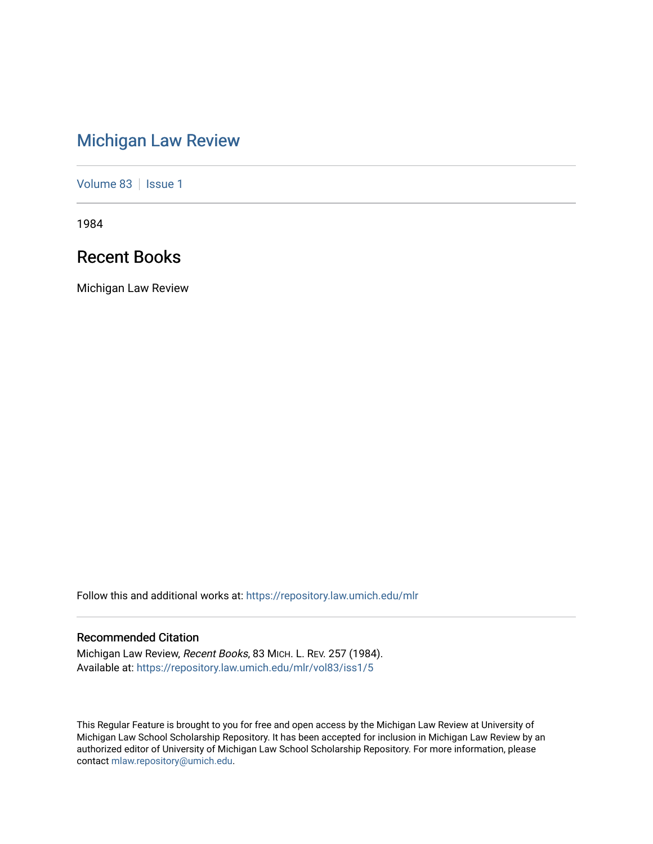# [Michigan Law Review](https://repository.law.umich.edu/mlr)

[Volume 83](https://repository.law.umich.edu/mlr/vol83) | [Issue 1](https://repository.law.umich.edu/mlr/vol83/iss1)

1984

# Recent Books

Michigan Law Review

Follow this and additional works at: [https://repository.law.umich.edu/mlr](https://repository.law.umich.edu/mlr?utm_source=repository.law.umich.edu%2Fmlr%2Fvol83%2Fiss1%2F5&utm_medium=PDF&utm_campaign=PDFCoverPages) 

## Recommended Citation

Michigan Law Review, Recent Books, 83 MICH. L. REV. 257 (1984). Available at: [https://repository.law.umich.edu/mlr/vol83/iss1/5](https://repository.law.umich.edu/mlr/vol83/iss1/5?utm_source=repository.law.umich.edu%2Fmlr%2Fvol83%2Fiss1%2F5&utm_medium=PDF&utm_campaign=PDFCoverPages)

This Regular Feature is brought to you for free and open access by the Michigan Law Review at University of Michigan Law School Scholarship Repository. It has been accepted for inclusion in Michigan Law Review by an authorized editor of University of Michigan Law School Scholarship Repository. For more information, please contact [mlaw.repository@umich.edu](mailto:mlaw.repository@umich.edu).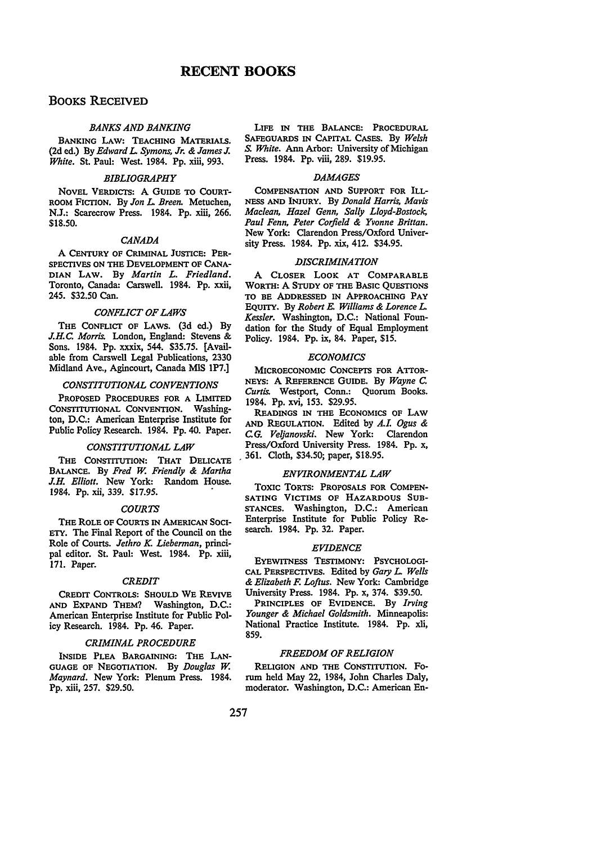## BOOKS RECEIVED

## *BANKS AND BANKING*

BANKING LAW: TEACHING MATERIAIS. (2d ed.) By *Edward L. Symons, Jr.* & *James J. White.* St. Paul: West. 1984. Pp. xiii, 993.

### *BIBLIOGRAPHY*

NOVEL VERDICTS: A GUIDE TO CoURT-ROOM FICTION. By *Jon L. Breen.* Metuchen, N.J.: Scarecrow Press. 1984. Pp. xiii, 266. \$18.50.

#### *CANADA*

A CENTURY OF CRIMINAL JUSTICE: PER-SPECTIVES ON THE DEVELOPMENT OF CANA-DIAN LAW. By *Martin L. Friedland.*  Toronto, Canada: Carswell. 1984. Pp. xxii, 245. \$32.50 Can.

## *CONFLICT OF LAWS*

THE CoNFLICT OF LAWS. (3d ed.) By *J.H. C. Morris.* London, England: Stevens & Sons. 1984. Pp. xxxix, 544. \$35.75. [Available from Carswell Legal Publications, 2330 Midland Ave., Agincourt, Canada MIS 1P7.]

#### *CONSTITUTIONAL CONVENTIONS*

PROPOSED PROCEDURES FOR A LIMITED CONSTITUTIONAL CONVENTION. Washington, D.C.: American Enterprise Institute for Public Policy Research. 1984. Pp. 40. Paper.

#### *CONSTITUTIONAL LAW*

THE CONSTITUTION: THAT DELICATE BALANCE. By *Fred W. Friendly* & *Martha J.H. Elliott.* New York: Random House. 1984. Pp. xii, 339. \$17.95.

#### *COURTS*

THE ROLE OF CoURTS IN AMERICAN SOCI-ETY. The Final Report of the Council on the Role of Courts. *Jethro K. Lieberman,* principal editor. St. Paul: West. 1984. Pp. xiii, 171. Paper.

#### *CREDIT*

CREDIT CONTROLS: SHOULD WE REVIVE AND EXPAND THEM? Washington, D.C.: American Enterprise Institute for Public Policy Research. 1984. Pp. 46. Paper.

## *CRIMINAL PROCEDURE*

INSIDE PLEA BARGAINING: THE LAN-GUAGE OF NEGOTIATION. By *Douglas w. Maynard.* New York: Plenum Press. 1984. Pp. xiii, 257. \$29.50.

LIFE IN THE BALANCE: PROCEDURAL SAFEGUARDS IN CAPITAL CASES. By *Welsh S. White.* Ann Arbor: University of Michigan Press. 1984. Pp. viii, 289. \$19.95.

## *DAMAGES*

CoMPENSATION AND SUPPORT FOR ILL-NESS AND INJURY. By *Donald Harris, Mavis Maclean, Hazel Genn, Sally Lloyd-Bostock, Paul Fenn, Peter Corfield* & *Yvonne Brittan.*  New York: Clarendon Press/Oxford University Press. 1984. Pp. xix, 412. \$34.95.

## *DISCRIMINATION*

A CLOSER LOOK AT COMPARABLE WORTH: A STUDY OF THE BASIC QUESTIONS TO BE ADDRESSED IN APPROACHING PAY EQUITY. By *Robert E. Williams* & *Lorence L. Kessler.* Washington, D.C.: National Foundation for the Study of Equal Employment Policy. 1984. Pp. ix, 84. Paper, \$15.

### *ECONOMICS*

MICROECONOMIC CoNCEPTS FOR ATTOR-NEYS: A REFERENCE GUIDE. By *Wayne c. Curtis.* Westport, Conn.: Quorum Books. 1984. Pp. xvi, 153. \$29.95.

READINGS IN THE EcONOMICS OF LAW AND REGULATION. Edited by *A.L Ogus* & *CG. Veljanovski.* New York: Clarendon Press/Oxford University Press. 1984. Pp. x, . 361. Cloth, \$34.50; paper, \$18.95.

## *ENVIRONMENTAL LAW*

TOXIC TORTS: PROPOSALS FOR COMPEN-SATING VICTIMS OF HAZARDOUS SUB-STANCES. Washington, D.C.: American Enterprise Institute for Public Policy Research. 1984. Pp. 32. Paper.

## *EVIDENCE*

EYEWITNESS TESTIMONY: PSYCHOLOGI-CAL PERSPECTIVES. Edited by *Gary L. Wells*  & *Elizabeth* F. *Loftus.* New York: Cambridge University Press. 1984. Pp. x, 374. \$39.50.

PRINCIPLES OF EVIDENCE. By *Irving Younger* & *Michael Goldsmith.* Minneapolis: National Practice Institute. 1984. Pp. xii, 859.

## *FREEDOM OF RELIGION*

RELIGION AND THE CONSTITUTION. Forum held May 22, 1984, John Charles Daly, moderator. Washington, D.C.: American En